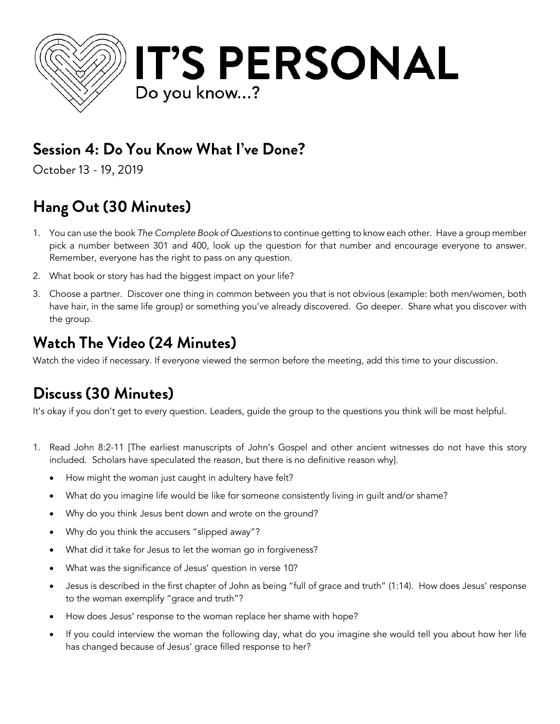

## **Session 4: Do You Know What I've Done?**

October 13 - 19, 2019

# **Hang Out (30 Minutes)**

- 1. You can use the book *The Complete Book of Questions* to continue getting to know each other. Have a group member pick a number between 301 and 400, look up the question for that number and encourage everyone to answer. Remember, everyone has the right to pass on any question.
- 2. What book or story has had the biggest impact on your life?
- 3. Choose a partner. Discover one thing in common between you that is not obvious (example: both men/women, both have hair, in the same life group) or something you've already discovered. Go deeper. Share what you discover with the group.

### **Watch The Video (24 Minutes)**

Watch the video if necessary. If everyone viewed the sermon before the meeting, add this time to your discussion.

## **Discuss (30 Minutes)**

It's okay if you don't get to every question. Leaders, guide the group to the questions you think will be most helpful.

- 1. Read John 8:2-11 [The earliest manuscripts of John's Gospel and other ancient witnesses do not have this story included. Scholars have speculated the reason, but there is no definitive reason why].
	- How might the woman just caught in adultery have felt?
	- What do you imagine life would be like for someone consistently living in guilt and/or shame?
	- Why do you think Jesus bent down and wrote on the ground?
	- Why do you think the accusers "slipped away"?
	- What did it take for Jesus to let the woman go in forgiveness?
	- What was the significance of Jesus' question in verse 10?
	- Jesus is described in the first chapter of John as being "full of grace and truth" (1:14). How does Jesus' response to the woman exemplify "grace and truth"?
	- How does Jesus' response to the woman replace her shame with hope?
	- If you could interview the woman the following day, what do you imagine she would tell you about how her life has changed because of Jesus' grace filled response to her?